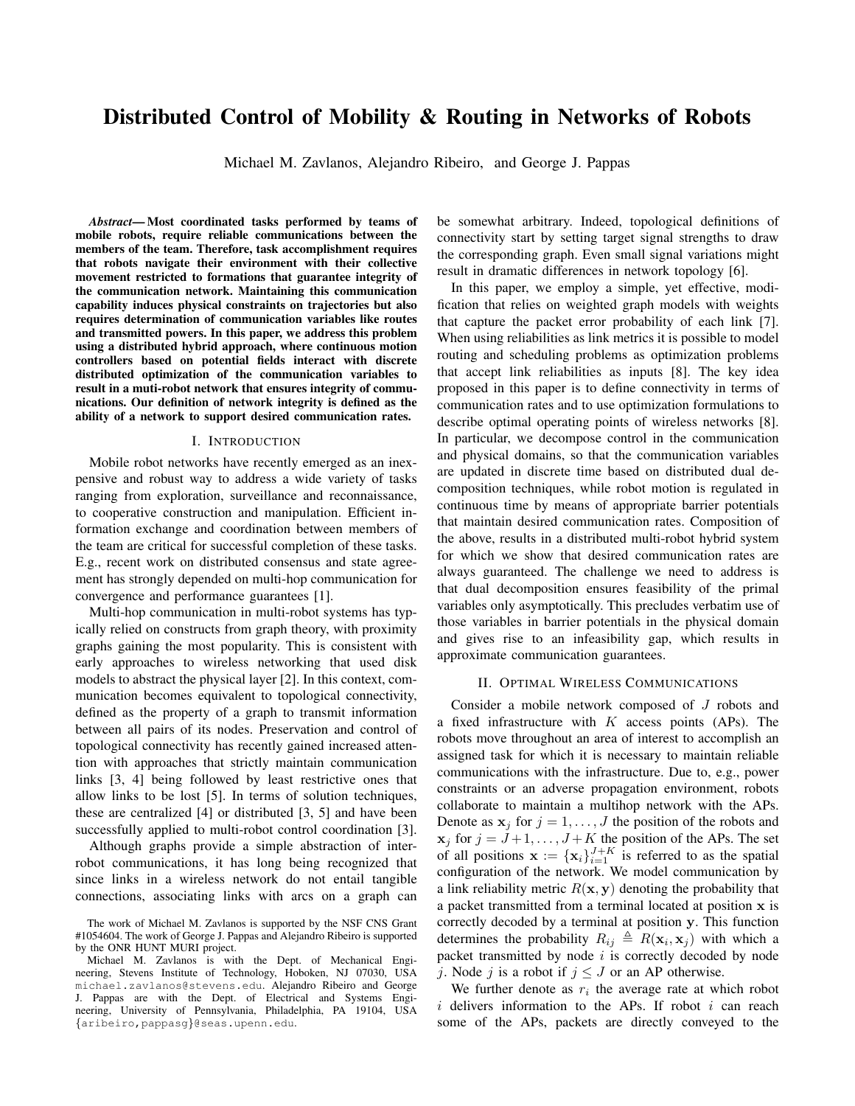# Distributed Control of Mobility & Routing in Networks of Robots

Michael M. Zavlanos, Alejandro Ribeiro, and George J. Pappas

*Abstract*— Most coordinated tasks performed by teams of mobile robots, require reliable communications between the members of the team. Therefore, task accomplishment requires that robots navigate their environment with their collective movement restricted to formations that guarantee integrity of the communication network. Maintaining this communication capability induces physical constraints on trajectories but also requires determination of communication variables like routes and transmitted powers. In this paper, we address this problem using a distributed hybrid approach, where continuous motion controllers based on potential fields interact with discrete distributed optimization of the communication variables to result in a muti-robot network that ensures integrity of communications. Our definition of network integrity is defined as the ability of a network to support desired communication rates.

#### I. INTRODUCTION

Mobile robot networks have recently emerged as an inexpensive and robust way to address a wide variety of tasks ranging from exploration, surveillance and reconnaissance, to cooperative construction and manipulation. Efficient information exchange and coordination between members of the team are critical for successful completion of these tasks. E.g., recent work on distributed consensus and state agreement has strongly depended on multi-hop communication for convergence and performance guarantees [1].

Multi-hop communication in multi-robot systems has typically relied on constructs from graph theory, with proximity graphs gaining the most popularity. This is consistent with early approaches to wireless networking that used disk models to abstract the physical layer [2]. In this context, communication becomes equivalent to topological connectivity, defined as the property of a graph to transmit information between all pairs of its nodes. Preservation and control of topological connectivity has recently gained increased attention with approaches that strictly maintain communication links [3, 4] being followed by least restrictive ones that allow links to be lost [5]. In terms of solution techniques, these are centralized [4] or distributed [3, 5] and have been successfully applied to multi-robot control coordination [3].

Although graphs provide a simple abstraction of interrobot communications, it has long being recognized that since links in a wireless network do not entail tangible connections, associating links with arcs on a graph can be somewhat arbitrary. Indeed, topological definitions of connectivity start by setting target signal strengths to draw the corresponding graph. Even small signal variations might result in dramatic differences in network topology [6].

In this paper, we employ a simple, yet effective, modification that relies on weighted graph models with weights that capture the packet error probability of each link [7]. When using reliabilities as link metrics it is possible to model routing and scheduling problems as optimization problems that accept link reliabilities as inputs [8]. The key idea proposed in this paper is to define connectivity in terms of communication rates and to use optimization formulations to describe optimal operating points of wireless networks [8]. In particular, we decompose control in the communication and physical domains, so that the communication variables are updated in discrete time based on distributed dual decomposition techniques, while robot motion is regulated in continuous time by means of appropriate barrier potentials that maintain desired communication rates. Composition of the above, results in a distributed multi-robot hybrid system for which we show that desired communication rates are always guaranteed. The challenge we need to address is that dual decomposition ensures feasibility of the primal variables only asymptotically. This precludes verbatim use of those variables in barrier potentials in the physical domain and gives rise to an infeasibility gap, which results in approximate communication guarantees.

#### II. OPTIMAL WIRELESS COMMUNICATIONS

Consider a mobile network composed of J robots and a fixed infrastructure with  $K$  access points (APs). The robots move throughout an area of interest to accomplish an assigned task for which it is necessary to maintain reliable communications with the infrastructure. Due to, e.g., power constraints or an adverse propagation environment, robots collaborate to maintain a multihop network with the APs. Denote as  $x_j$  for  $j = 1, \ldots, J$  the position of the robots and  $x_j$  for  $j = J+1, \ldots, J+K$  the position of the APs. The set of all positions  $\mathbf{x} := \{x_i\}_{i=1}^{J+K}$  is referred to as the spatial configuration of the network. We model communication by a link reliability metric  $R(x, y)$  denoting the probability that a packet transmitted from a terminal located at position x is correctly decoded by a terminal at position y. This function determines the probability  $R_{ij} \triangleq R(\mathbf{x}_i, \mathbf{x}_j)$  with which a packet transmitted by node  $i$  is correctly decoded by node j. Node j is a robot if  $j \leq J$  or an AP otherwise.

We further denote as  $r_i$  the average rate at which robot  $i$  delivers information to the APs. If robot  $i$  can reach some of the APs, packets are directly conveyed to the

The work of Michael M. Zavlanos is supported by the NSF CNS Grant #1054604. The work of George J. Pappas and Alejandro Ribeiro is supported by the ONR HUNT MURI project.

Michael M. Zavlanos is with the Dept. of Mechanical Engineering, Stevens Institute of Technology, Hoboken, NJ 07030, USA michael.zavlanos@stevens.edu. Alejandro Ribeiro and George J. Pappas are with the Dept. of Electrical and Systems Engineering, University of Pennsylvania, Philadelphia, PA 19104, USA {aribeiro,pappasg}@seas.upenn.edu.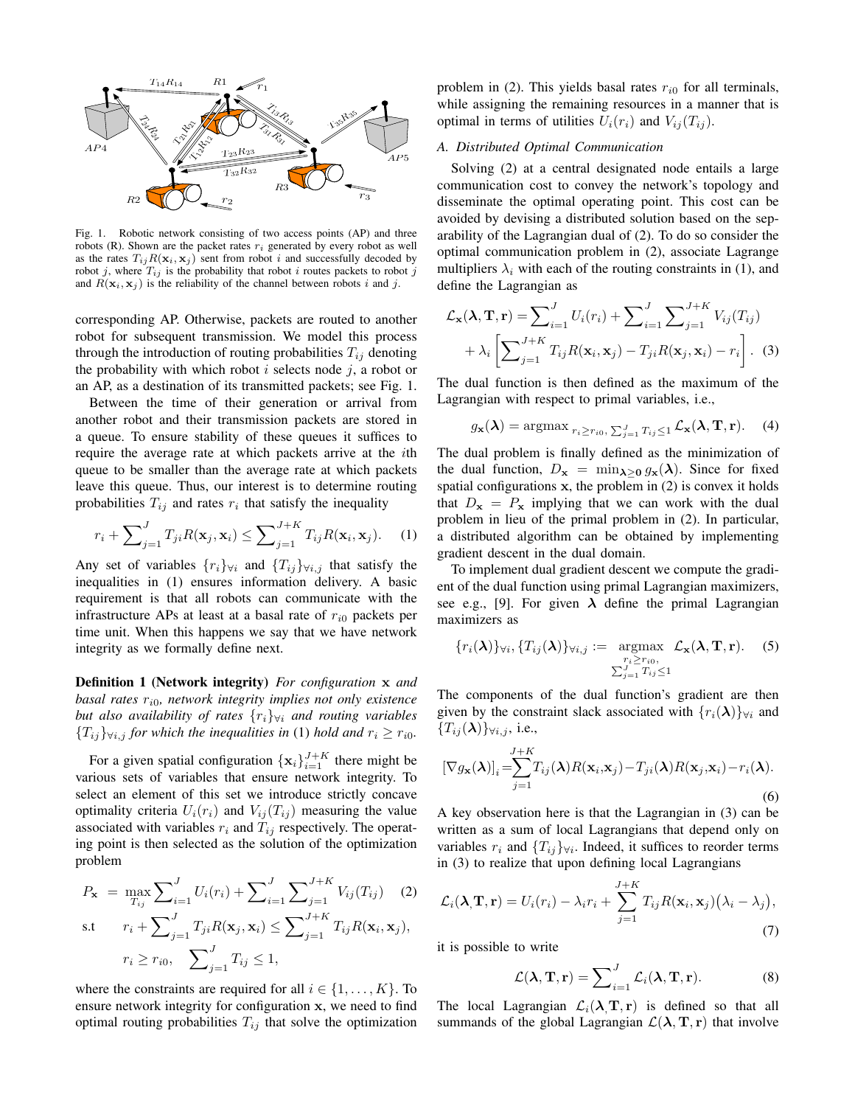

Fig. 1. Robotic network consisting of two access points (AP) and three robots (R). Shown are the packet rates  $r_i$  generated by every robot as well as the rates  $T_{ij}R(\mathbf{x}_i, \mathbf{x}_j)$  sent from robot i and successfully decoded by robot j, where  $T_{ij}$  is the probability that robot i routes packets to robot j and  $R(\mathbf{x}_i, \mathbf{x}_j)$  is the reliability of the channel between robots i and j.

corresponding AP. Otherwise, packets are routed to another robot for subsequent transmission. We model this process through the introduction of routing probabilities  $T_{ij}$  denoting the probability with which robot  $i$  selects node  $j$ , a robot or an AP, as a destination of its transmitted packets; see Fig. 1.

Between the time of their generation or arrival from another robot and their transmission packets are stored in a queue. To ensure stability of these queues it suffices to require the average rate at which packets arrive at the ith queue to be smaller than the average rate at which packets leave this queue. Thus, our interest is to determine routing probabilities  $T_{ij}$  and rates  $r_i$  that satisfy the inequality

$$
r_i + \sum_{j=1}^{J} T_{ji} R(\mathbf{x}_j, \mathbf{x}_i) \le \sum_{j=1}^{J+K} T_{ij} R(\mathbf{x}_i, \mathbf{x}_j).
$$
 (1)

Any set of variables  $\{r_i\}_{\forall i}$  and  $\{T_{ij}\}_{\forall i,j}$  that satisfy the inequalities in (1) ensures information delivery. A basic requirement is that all robots can communicate with the infrastructure APs at least at a basal rate of  $r_{i0}$  packets per time unit. When this happens we say that we have network integrity as we formally define next.

Definition 1 (Network integrity) *For configuration* x *and basal rates* r<sup>i</sup>0*, network integrity implies not only existence but also availability of rates*  $\{r_i\}_{\forall i}$  *and routing variables*  ${T_{ij}}\}_{\forall i,j}$  *for which the inequalities in* (1) *hold and*  $r_i \geq r_{i0}$ *.* 

For a given spatial configuration  $\{\mathbf x_i\}_{i=1}^{J+K}$  there might be various sets of variables that ensure network integrity. To select an element of this set we introduce strictly concave optimality criteria  $U_i(r_i)$  and  $V_{ij}(T_{ij})$  measuring the value associated with variables  $r_i$  and  $T_{ij}$  respectively. The operating point is then selected as the solution of the optimization problem

$$
P_{\mathbf{x}} = \max_{T_{ij}} \sum_{i=1}^{J} U_i(r_i) + \sum_{i=1}^{J} \sum_{j=1}^{J+K} V_{ij}(T_{ij}) \quad (2)
$$
  
s.t 
$$
r_i + \sum_{j=1}^{J} T_{ji} R(\mathbf{x}_j, \mathbf{x}_i) \le \sum_{j=1}^{J+K} T_{ij} R(\mathbf{x}_i, \mathbf{x}_j),
$$

$$
r_i \ge r_{i0}, \sum_{j=1}^{J} T_{ij} \le 1,
$$

where the constraints are required for all  $i \in \{1, \ldots, K\}$ . To ensure network integrity for configuration x, we need to find optimal routing probabilities  $T_{ij}$  that solve the optimization problem in (2). This yields basal rates  $r_{i0}$  for all terminals, while assigning the remaining resources in a manner that is optimal in terms of utilities  $U_i(r_i)$  and  $V_{ij}(T_{ij})$ .

# *A. Distributed Optimal Communication*

Solving (2) at a central designated node entails a large communication cost to convey the network's topology and disseminate the optimal operating point. This cost can be avoided by devising a distributed solution based on the separability of the Lagrangian dual of (2). To do so consider the optimal communication problem in (2), associate Lagrange multipliers  $\lambda_i$  with each of the routing constraints in (1), and define the Lagrangian as

$$
\mathcal{L}_{\mathbf{x}}(\lambda, \mathbf{T}, \mathbf{r}) = \sum_{i=1}^{J} U_i(r_i) + \sum_{i=1}^{J} \sum_{j=1}^{J+K} V_{ij}(T_{ij}) + \lambda_i \left[ \sum_{j=1}^{J+K} T_{ij} R(\mathbf{x}_i, \mathbf{x}_j) - T_{ji} R(\mathbf{x}_j, \mathbf{x}_i) - r_i \right].
$$
 (3)

The dual function is then defined as the maximum of the Lagrangian with respect to primal variables, i.e.,

$$
g_{\mathbf{x}}(\boldsymbol{\lambda}) = \operatorname{argmax}_{r_i \ge r_{i0}} \sum_{j=1}^{J} T_{ij} \le 1} \mathcal{L}_{\mathbf{x}}(\boldsymbol{\lambda}, \mathbf{T}, \mathbf{r}). \tag{4}
$$

The dual problem is finally defined as the minimization of the dual function,  $D_x = \min_{\lambda > 0} g_x(\lambda)$ . Since for fixed spatial configurations  $x$ , the problem in  $(2)$  is convex it holds that  $D_x = P_x$  implying that we can work with the dual problem in lieu of the primal problem in (2). In particular, a distributed algorithm can be obtained by implementing gradient descent in the dual domain.

To implement dual gradient descent we compute the gradient of the dual function using primal Lagrangian maximizers, see e.g., [9]. For given  $\lambda$  define the primal Lagrangian maximizers as

$$
\{r_i(\boldsymbol{\lambda})\}_{\forall i}, \{T_{ij}(\boldsymbol{\lambda})\}_{\forall i,j} := \operatorname*{argmax}_{\substack{r_i \geq r_{i0}, \\ \sum_{j=1}^J T_{ij} \leq 1}} \mathcal{L}_{\mathbf{x}}(\boldsymbol{\lambda}, \mathbf{T}, \mathbf{r}).
$$
 (5)

The components of the dual function's gradient are then given by the constraint slack associated with  $\{r_i(\lambda)\}\forall i$  and  ${T_{ij}(\lambda)}\}_{\forall i,j}$ , i.e.,

$$
[\nabla g_{\mathbf{x}}(\boldsymbol{\lambda})]_i = \sum_{j=1}^{J+K} T_{ij}(\boldsymbol{\lambda}) R(\mathbf{x}_i, \mathbf{x}_j) - T_{ji}(\boldsymbol{\lambda}) R(\mathbf{x}_j, \mathbf{x}_i) - r_i(\boldsymbol{\lambda}).
$$
\n(6)

A key observation here is that the Lagrangian in (3) can be written as a sum of local Lagrangians that depend only on variables  $r_i$  and  $\{T_{ij}\}\forall i$ . Indeed, it suffices to reorder terms in (3) to realize that upon defining local Lagrangians

$$
\mathcal{L}_i(\lambda, \mathbf{T}, \mathbf{r}) = U_i(r_i) - \lambda_i r_i + \sum_{j=1}^{J+K} T_{ij} R(\mathbf{x}_i, \mathbf{x}_j) (\lambda_i - \lambda_j),
$$
\n(7)

it is possible to write

$$
\mathcal{L}(\lambda, \mathbf{T}, \mathbf{r}) = \sum_{i=1}^{J} \mathcal{L}_i(\lambda, \mathbf{T}, \mathbf{r}).
$$
 (8)

The local Lagrangian  $\mathcal{L}_i(\lambda, \mathbf{T}, \mathbf{r})$  is defined so that all summands of the global Lagrangian  $\mathcal{L}(\lambda, \mathbf{T}, \mathbf{r})$  that involve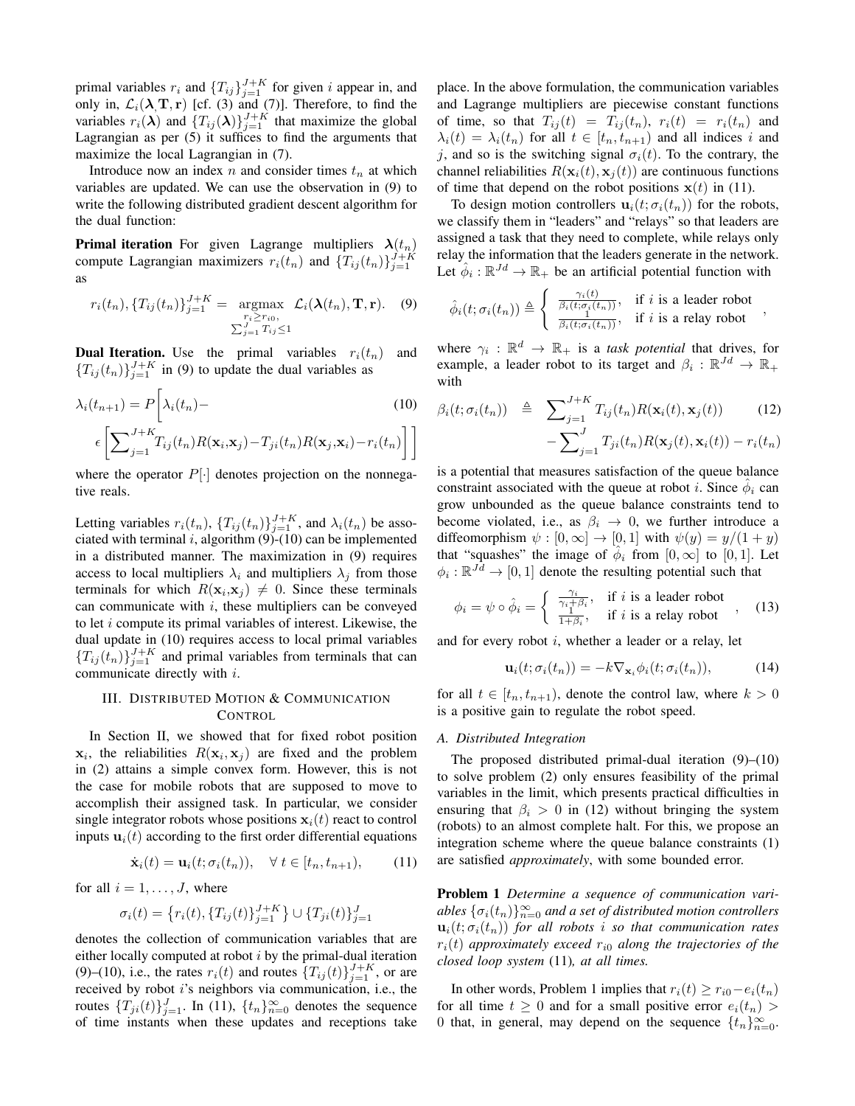primal variables  $r_i$  and  $\{T_{ij}\}_{j=1}^{J+K}$  for given i appear in, and only in,  $\mathcal{L}_i(\lambda, \mathbf{T}, \mathbf{r})$  [cf. (3) and (7)]. Therefore, to find the variables  $r_i(\lambda)$  and  $\{T_{ij}(\lambda)\}_{j=1}^{J+K}$  that maximize the global Lagrangian as per (5) it suffices to find the arguments that maximize the local Lagrangian in (7).

Introduce now an index  $n$  and consider times  $t_n$  at which variables are updated. We can use the observation in (9) to write the following distributed gradient descent algorithm for the dual function:

**Primal iteration** For given Lagrange multipliers  $\lambda(t_n)$ compute Lagrangian maximizers  $r_i(t_n)$  and  $\{T_{ij}(t_n)\}_{j=1}^{J+K}$ as

$$
r_i(t_n), \{T_{ij}(t_n)\}_{j=1}^{J+K} = \underset{\substack{r_i \ge r_{i0}, \\ \sum_{j=1}^J T_{ij} \le 1}}{\text{argmax}} \mathcal{L}_i(\lambda(t_n), \mathbf{T}, \mathbf{r}). \quad (9)
$$

**Dual Iteration.** Use the primal variables  $r_i(t_n)$  and  ${T_{ij}(t_n)}_{j=1}^{J+K}$  in (9) to update the dual variables as

$$
\lambda_i(t_{n+1}) = P\bigg[\lambda_i(t_n) - \left(\sum_{j=1}^{J+K} T_{ij}(t_n) R(\mathbf{x}_i, \mathbf{x}_j) - T_{ji}(t_n) R(\mathbf{x}_j, \mathbf{x}_i) - r_i(t_n)\right]\bigg]
$$
\n(10)

where the operator  $P[\cdot]$  denotes projection on the nonnegative reals.

Letting variables  $r_i(t_n)$ ,  $\{T_{ij}(t_n)\}_{j=1}^{J+K}$ , and  $\lambda_i(t_n)$  be associated with terminal i, algorithm  $(9)$ - $(10)$  can be implemented in a distributed manner. The maximization in (9) requires access to local multipliers  $\lambda_i$  and multipliers  $\lambda_j$  from those terminals for which  $R(\mathbf{x}_i, \mathbf{x}_j) \neq 0$ . Since these terminals can communicate with  $i$ , these multipliers can be conveyed to let  $i$  compute its primal variables of interest. Likewise, the dual update in (10) requires access to local primal variables  ${T_{ij}(t_n)}_{j=1}^{J+K}$  and primal variables from terminals that can communicate directly with i.

## III. DISTRIBUTED MOTION & COMMUNICATION **CONTROL**

In Section II, we showed that for fixed robot position  $x_i$ , the reliabilities  $R(\mathbf{x}_i, \mathbf{x}_j)$  are fixed and the problem in (2) attains a simple convex form. However, this is not the case for mobile robots that are supposed to move to accomplish their assigned task. In particular, we consider single integrator robots whose positions  $x_i(t)$  react to control inputs  $\mathbf{u}_i(t)$  according to the first order differential equations

$$
\dot{\mathbf{x}}_i(t) = \mathbf{u}_i(t; \sigma_i(t_n)), \quad \forall \ t \in [t_n, t_{n+1}), \tag{11}
$$

for all  $i = 1, \ldots, J$ , where

$$
\sigma_i(t) = \left\{ r_i(t), \{ T_{ij}(t) \}_{j=1}^{J+K} \right\} \cup \{ T_{ji}(t) \}_{j=1}^{J}
$$

denotes the collection of communication variables that are either locally computed at robot  $i$  by the primal-dual iteration (9)–(10), i.e., the rates  $r_i(t)$  and routes  $\{T_{ij}(t)\}_{j=1}^{J+K}$ , or are received by robot i's neighbors via communication, i.e., the routes  ${T_{ji}(t)}_{j=1}^J$ . In (11),  ${T_{n}}_{n=0}^{\infty}$  denotes the sequence of time instants when these updates and receptions take place. In the above formulation, the communication variables and Lagrange multipliers are piecewise constant functions of time, so that  $T_{ij}(t) = T_{ij}(t_n)$ ,  $r_i(t) = r_i(t_n)$  and  $\lambda_i(t) = \lambda_i(t_n)$  for all  $t \in [t_n, t_{n+1})$  and all indices i and j, and so is the switching signal  $\sigma_i(t)$ . To the contrary, the channel reliabilities  $R(\mathbf{x}_i(t), \mathbf{x}_j(t))$  are continuous functions of time that depend on the robot positions  $x(t)$  in (11).

To design motion controllers  $\mathbf{u}_i(t; \sigma_i(t_n))$  for the robots, we classify them in "leaders" and "relays" so that leaders are assigned a task that they need to complete, while relays only relay the information that the leaders generate in the network. Let  $\hat{\phi}_i : \mathbb{R}^{Jd} \to \mathbb{R}_+$  be an artificial potential function with

$$
\hat{\phi}_i(t;\sigma_i(t_n)) \triangleq \begin{cases} \frac{\gamma_i(t)}{\beta_i(t;\sigma_i(t_n))}, & \text{if } i \text{ is a leader robot} \\ \frac{1}{\beta_i(t;\sigma_i(t_n))}, & \text{if } i \text{ is a relay robot} \end{cases},
$$

where  $\gamma_i : \mathbb{R}^d \to \mathbb{R}_+$  is a *task potential* that drives, for example, a leader robot to its target and  $\beta_i : \mathbb{R}^{Jd} \to \mathbb{R}_+$ with

$$
\beta_i(t; \sigma_i(t_n)) \triangleq \sum_{j=1}^{J+K} T_{ij}(t_n) R(\mathbf{x}_i(t), \mathbf{x}_j(t)) \qquad (12)
$$

$$
-\sum_{j=1}^{J} T_{ji}(t_n) R(\mathbf{x}_j(t), \mathbf{x}_i(t)) - r_i(t_n)
$$

is a potential that measures satisfaction of the queue balance constraint associated with the queue at robot *i*. Since  $\hat{\phi}_i$  can grow unbounded as the queue balance constraints tend to become violated, i.e., as  $\beta_i \rightarrow 0$ , we further introduce a diffeomorphism  $\psi : [0, \infty] \to [0, 1]$  with  $\psi(y) = y/(1 + y)$ that "squashes" the image of  $\hat{\phi}_i$  from  $[0,\infty]$  to  $[0,1]$ . Let  $\phi_i : \mathbb{R}^{J\bar{d}} \to [0,1]$  denote the resulting potential such that

$$
\phi_i = \psi \circ \hat{\phi}_i = \begin{cases} \frac{\gamma_i}{\gamma_i + \beta_i}, & \text{if } i \text{ is a leader robot} \\ \frac{1}{1 + \beta_i}, & \text{if } i \text{ is a relay robot} \end{cases}, \quad (13)
$$

and for every robot  $i$ , whether a leader or a relay, let

$$
\mathbf{u}_i(t;\sigma_i(t_n)) = -k \nabla_{\mathbf{x}_i} \phi_i(t;\sigma_i(t_n)),\tag{14}
$$

for all  $t \in [t_n, t_{n+1})$ , denote the control law, where  $k > 0$ is a positive gain to regulate the robot speed.

## *A. Distributed Integration*

The proposed distributed primal-dual iteration (9)–(10) to solve problem (2) only ensures feasibility of the primal variables in the limit, which presents practical difficulties in ensuring that  $\beta_i > 0$  in (12) without bringing the system (robots) to an almost complete halt. For this, we propose an integration scheme where the queue balance constraints (1) are satisfied *approximately*, with some bounded error.

Problem 1 *Determine a sequence of communication vari*ables  $\{\sigma_i(t_n)\}_{n=0}^{\infty}$  and a set of distributed motion controllers  $\mathbf{u}_i(t; \sigma_i(t_n))$  *for all robots i so that communication rates*  $r_i(t)$  approximately exceed  $r_{i0}$  along the trajectories of the *closed loop system* (11)*, at all times.*

In other words, Problem 1 implies that  $r_i(t) \ge r_{i0} - e_i(t_n)$ for all time  $t \geq 0$  and for a small positive error  $e_i(t_n)$ 0 that, in general, may depend on the sequence  $\{t_n\}_{n=0}^{\infty}$ .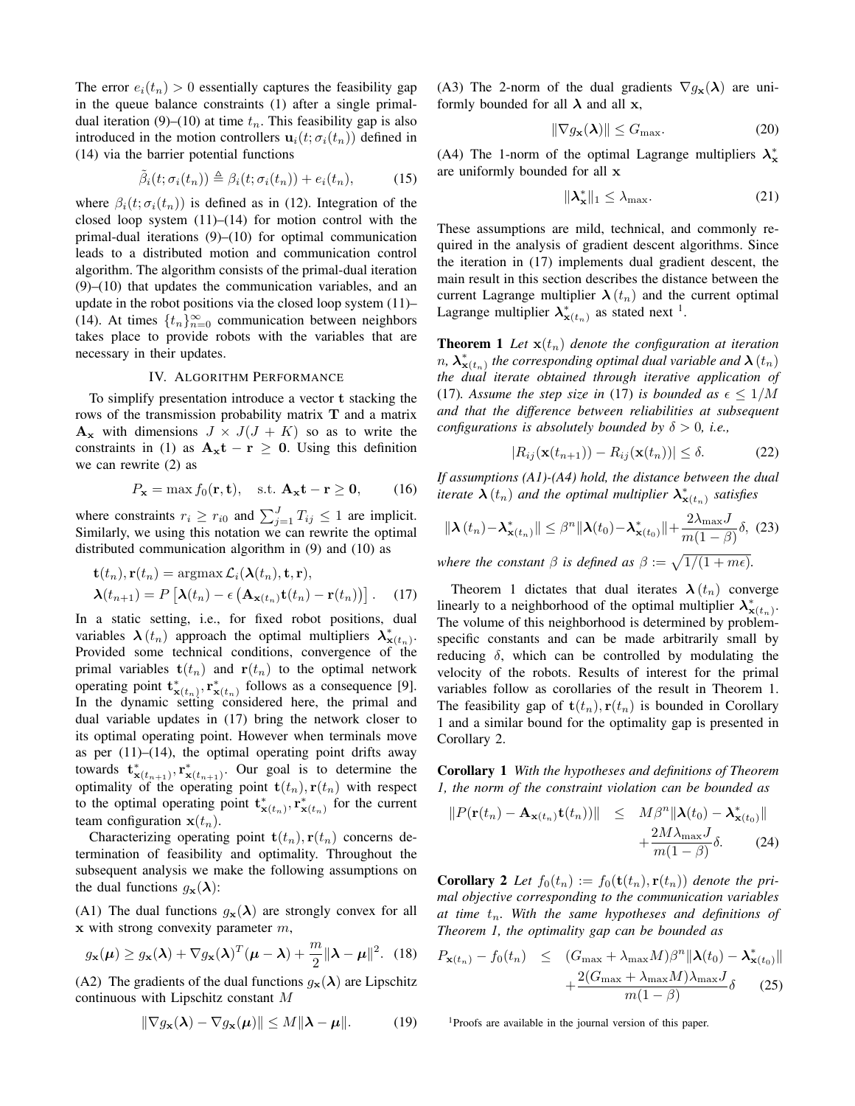The error  $e_i(t_n) > 0$  essentially captures the feasibility gap in the queue balance constraints (1) after a single primaldual iteration (9)–(10) at time  $t_n$ . This feasibility gap is also introduced in the motion controllers  $\mathbf{u}_i(t; \sigma_i(t_n))$  defined in (14) via the barrier potential functions

$$
\tilde{\beta}_i(t; \sigma_i(t_n)) \triangleq \beta_i(t; \sigma_i(t_n)) + e_i(t_n), \tag{15}
$$

where  $\beta_i(t; \sigma_i(t_n))$  is defined as in (12). Integration of the closed loop system  $(11)$ – $(14)$  for motion control with the primal-dual iterations (9)–(10) for optimal communication leads to a distributed motion and communication control algorithm. The algorithm consists of the primal-dual iteration (9)–(10) that updates the communication variables, and an update in the robot positions via the closed loop system (11)– (14). At times  $\{t_n\}_{n=0}^{\infty}$  communication between neighbors takes place to provide robots with the variables that are necessary in their updates.

### IV. ALGORITHM PERFORMANCE

To simplify presentation introduce a vector t stacking the rows of the transmission probability matrix T and a matrix  $A_x$  with dimensions  $J \times J(J + K)$  so as to write the constraints in (1) as  $A_x t - r \ge 0$ . Using this definition we can rewrite (2) as

$$
P_{\mathbf{x}} = \max f_0(\mathbf{r}, \mathbf{t}), \quad \text{s.t. } \mathbf{A}_{\mathbf{x}} \mathbf{t} - \mathbf{r} \ge \mathbf{0}, \qquad (16)
$$

where constraints  $r_i \ge r_{i0}$  and  $\sum_{j=1}^{J} T_{ij} \le 1$  are implicit. Similarly, we using this notation we can rewrite the optimal distributed communication algorithm in (9) and (10) as

$$
\mathbf{t}(t_n), \mathbf{r}(t_n) = \operatorname{argmax} \mathcal{L}_i(\mathbf{\lambda}(t_n), \mathbf{t}, \mathbf{r}),
$$

$$
\mathbf{\lambda}(t_{n+1}) = P\left[\mathbf{\lambda}(t_n) - \epsilon \left(\mathbf{A}_{\mathbf{x}(t_n)} \mathbf{t}(t_n) - \mathbf{r}(t_n)\right)\right].
$$
 (17)

In a static setting, i.e., for fixed robot positions, dual variables  $\lambda(t_n)$  approach the optimal multipliers  $\lambda^*_{\mathbf{x}(t_n)}$ . Provided some technical conditions, convergence of the primal variables  $t(t_n)$  and  $r(t_n)$  to the optimal network operating point  $\mathbf{t}^*_{\mathbf{x}(t_n)}, \mathbf{r}^*_{\mathbf{x}(t_n)}$  follows as a consequence [9]. In the dynamic setting considered here, the primal and dual variable updates in (17) bring the network closer to its optimal operating point. However when terminals move as per  $(11)$ – $(14)$ , the optimal operating point drifts away towards  $\mathbf{t}^*_{\mathbf{x}(t_{n+1})}, \mathbf{r}^*_{\mathbf{x}(t_{n+1})}$ . Our goal is to determine the optimality of the operating point  $\mathbf{t}(t_n)$ ,  $\mathbf{r}(t_n)$  with respect to the optimal operating point  $\mathbf{t}^*_{\mathbf{x}(t_n)}, \mathbf{r}^*_{\mathbf{x}(t_n)}$  for the current team configuration  $\mathbf{x}(t_n)$ .

Characterizing operating point  $\mathbf{t}(t_n)$ ,  $\mathbf{r}(t_n)$  concerns determination of feasibility and optimality. Throughout the subsequent analysis we make the following assumptions on the dual functions  $g_{\mathbf{x}}(\lambda)$ :

(A1) The dual functions  $g_{\mathbf{x}}(\lambda)$  are strongly convex for all  $x$  with strong convexity parameter  $m$ ,

$$
g_{\mathbf{x}}(\boldsymbol{\mu}) \ge g_{\mathbf{x}}(\boldsymbol{\lambda}) + \nabla g_{\mathbf{x}}(\boldsymbol{\lambda})^T (\boldsymbol{\mu} - \boldsymbol{\lambda}) + \frac{m}{2} \|\boldsymbol{\lambda} - \boldsymbol{\mu}\|^2. \tag{18}
$$

(A2) The gradients of the dual functions  $g_{\mathbf{x}}(\lambda)$  are Lipschitz continuous with Lipschitz constant M

$$
\|\nabla g_{\mathbf{x}}(\boldsymbol{\lambda}) - \nabla g_{\mathbf{x}}(\boldsymbol{\mu})\| \le M \|\boldsymbol{\lambda} - \boldsymbol{\mu}\|.
$$
 (19)

(A3) The 2-norm of the dual gradients  $\nabla g_{\mathbf{x}}(\lambda)$  are uniformly bounded for all  $\lambda$  and all x,

$$
\|\nabla g_{\mathbf{x}}(\boldsymbol{\lambda})\| \le G_{\text{max}}.\tag{20}
$$

(A4) The 1-norm of the optimal Lagrange multipliers  $\lambda_x^*$ are uniformly bounded for all x

$$
\|\lambda_{\mathbf{x}}^*\|_1 \le \lambda_{\max}.\tag{21}
$$

These assumptions are mild, technical, and commonly required in the analysis of gradient descent algorithms. Since the iteration in (17) implements dual gradient descent, the main result in this section describes the distance between the current Lagrange multiplier  $\lambda(t_n)$  and the current optimal Lagrange multiplier  $\lambda^*_{\mathbf{x}(t_n)}$  as stated next <sup>1</sup>.

**Theorem 1** Let  $\mathbf{x}(t_n)$  denote the configuration at iteration  $n$ ,  $\lambda^{*}_{\mathbf{x}(t_n)}$  the corresponding optimal dual variable and  $\lambda(t_n)$ *the dual iterate obtained through iterative application of* (17)*.* Assume the step size in (17) is bounded as  $\epsilon \leq 1/M$ *and that the difference between reliabilities at subsequent configurations is absolutely bounded by*  $\delta > 0$ , *i.e.*,

$$
|R_{ij}(\mathbf{x}(t_{n+1})) - R_{ij}(\mathbf{x}(t_n))| \le \delta.
$$
 (22)

*If assumptions (A1)-(A4) hold, the distance between the dual* iterate  $\hat{\bm{\lambda}}(t_n)$  and the optimal multiplier  $\bm{\lambda}^*_{\mathbf{x}(t_n)}$  satisfies

$$
\|\boldsymbol{\lambda}(t_n) - \boldsymbol{\lambda}^*_{\mathbf{x}(t_n)}\| \leq \beta^n \|\boldsymbol{\lambda}(t_0) - \boldsymbol{\lambda}^*_{\mathbf{x}(t_0)}\| + \frac{2\lambda_{\max} J}{m(1-\beta)}\delta, (23)
$$

*where the constant*  $\beta$  *is defined as*  $\beta := \sqrt{1/(1 + m\epsilon)}$ .

Theorem 1 dictates that dual iterates  $\lambda(t_n)$  converge linearly to a neighborhood of the optimal multiplier  $\lambda^*_{\mathbf{x}(t_n)}$ . The volume of this neighborhood is determined by problemspecific constants and can be made arbitrarily small by reducing  $\delta$ , which can be controlled by modulating the velocity of the robots. Results of interest for the primal variables follow as corollaries of the result in Theorem 1. The feasibility gap of  $\mathbf{t}(t_n)$ ,  $\mathbf{r}(t_n)$  is bounded in Corollary 1 and a similar bound for the optimality gap is presented in Corollary 2.

Corollary 1 *With the hypotheses and definitions of Theorem 1, the norm of the constraint violation can be bounded as*

$$
||P(\mathbf{r}(t_n) - \mathbf{A}_{\mathbf{x}(t_n)}\mathbf{t}(t_n))|| \leq M\beta^n ||\mathbf{\lambda}(t_0) - \mathbf{\lambda}_{\mathbf{x}(t_0)}^*||
$$
  
+ 
$$
\frac{2M\lambda_{\max}J}{m(1-\beta)}\delta.
$$
 (24)

**Corollary 2** Let  $f_0(t_n) := f_0(\mathbf{t}(t_n), \mathbf{r}(t_n))$  denote the pri*mal objective corresponding to the communication variables* at time  $t_n$ . With the same hypotheses and definitions of *Theorem 1, the optimality gap can be bounded as*

$$
P_{\mathbf{x}(t_n)} - f_0(t_n) \leq (G_{\max} + \lambda_{\max} M)\beta^n ||\mathbf{\lambda}(t_0) - \mathbf{\lambda}^*_{\mathbf{x}(t_0)}||
$$
  
+ 
$$
\frac{2(G_{\max} + \lambda_{\max} M)\lambda_{\max} J}{m(1 - \beta)} \delta
$$
 (25)

<sup>1</sup>Proofs are available in the journal version of this paper.